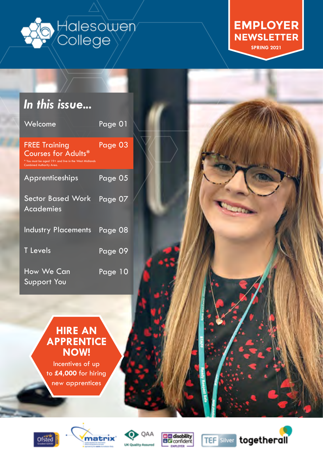<span id="page-0-0"></span>

**EMPLOYER NEWSLETTER SPRING 2021**

### *In this issue...*

| Welcome                                                                                                                                | Page 01 |  |
|----------------------------------------------------------------------------------------------------------------------------------------|---------|--|
| <b>FREE Training</b><br><b>Courses for Adults*</b><br>* You must be aged 19+ and live in the West Midlands<br>Combined Authority Area. | Page 03 |  |
| Apprenticeships                                                                                                                        | Page 05 |  |
| <b>Sector Based Work</b><br><b>Academies</b>                                                                                           | Page 07 |  |
| <b>Industry Placements</b>                                                                                                             | Page 08 |  |
| <b>T</b> Levels                                                                                                                        | Page 09 |  |
| <b>How We Can</b><br><b>Support You</b>                                                                                                | Page 10 |  |

### **[HIRE AN](#page-3-0) [APPRENTICE](#page-3-0) [NOW!](#page-3-0)**

[Incentives of up](#page-3-0) to **£4,000** [for hiring](#page-3-0) [new apprentices](#page-3-0)











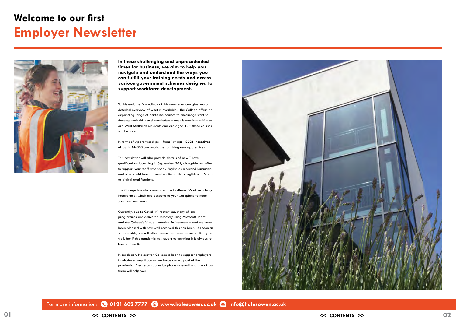## <span id="page-1-0"></span>**Welcome to our first Employer Newsletter**



**In these challenging and unprecedented times for business, we aim to help you navigate and understand the ways you can fulfill your training needs and access various government schemes designed to support workforce development.**

To this end, the first edition of this newsletter can give you a detailed overview of what is available. The College offers an expanding range of part-time courses to encourage staff to develop their skills and knowledge – even better is that if they are West Midlands residents and are aged 19+ these courses will be free!

In terms of Apprenticeships – **from 1st April 2021 incentives of up to £4,000** are available for hiring new apprentices.

This newsletter will also provide details of new T Level qualifications launching in September 202, alongside our offer to support your staff who speak English as a second language and who would benefit from Functional Skills English and Maths or digital qualifications.

The College has also developed Sector-Based Work Academy Programmes which are bespoke to your workplace to meet your business needs.

Currently, due to Covid-19 restrictions, many of our programmes are delivered remotely using Microsoft Teams and the College's Virtual Learning Environment – and we have been pleased with how well received this has been. As soon as we are able, we will offer on-campus face-to-face delivery as well, but if this pandemic has taught us anything it is always to have a Plan B.

In conclusion, Halesowen College is keen to support employers in whatever way it can as we forge our way out of the pandemic. Please contact us by phone or email and one of our team will help you.



For more information: **0121 602 7777 [www.halesowen.ac.uk](http://www.halesowen.ac.uk) [info@halesowen.ac.uk](mailto:info%40halesowen.ac.uk?subject=)**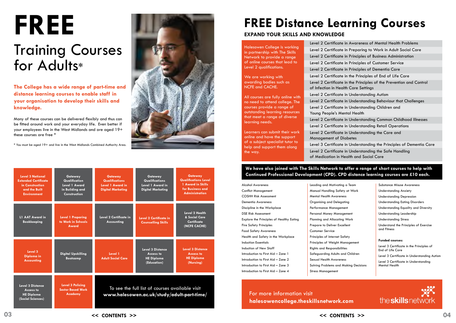**The College has a wide range of part-time and distance learning courses to enable staff in your organisation to develop their skills and knowledge.** 

Many of these courses can be delivered flexibly and thus can be fitted around work and your everyday life. Even better if your employees live in the West Midlands and are aged 19+ these courses are free \*

\* You must be aged 19+ and live in the West Midlands Combined Authority Area.

# <span id="page-2-0"></span>**FREE** Training Courses for Adults\*

| <b>Level 3 National</b><br><b>Extended Certificate</b><br>in Construction<br>and the Built<br><b>Environment</b> | Gateway<br>Qualification<br><b>Level 1 Award</b><br>in Building and<br><b>Construction</b> | <b>Gateway</b><br><b>Qualifications</b><br>Level 1 Award in<br><b>Digital Marketing</b>       | Gateway<br><b>Qualifications</b><br>Level 1 Award in<br><b>Digital Marketing</b> | <b>Gateway</b><br><b>Qualifications Level</b><br>1 Award in Skills<br>for Business and<br><b>Administration</b> |
|------------------------------------------------------------------------------------------------------------------|--------------------------------------------------------------------------------------------|-----------------------------------------------------------------------------------------------|----------------------------------------------------------------------------------|-----------------------------------------------------------------------------------------------------------------|
| L1 AAT Award in<br><b>Bookkeeping</b>                                                                            | <b>Level 1 Preparing</b><br>to Work in Schools<br>Award                                    | Level 2 Certificate in<br>Accounting                                                          | <b>Level 2 Certificate in</b><br><b>Counselling Skills</b>                       | <b>Level 2 Health</b><br>& Social Care<br>Certificate<br>(NCFE CACHE)                                           |
| Level 3<br>Diploma in<br><b>Accounting</b>                                                                       | <b>Digital Upskilling</b><br><b>Bootcamp</b>                                               | Level 1<br><b>Adult Social Care</b>                                                           | Level 3 Distance<br>Access to<br><b>HE Diploma</b><br>(Education)                | <b>Level 3 Distance</b><br><b>Access to</b><br><b>HE Diploma</b><br>(Nursing)                                   |
| <b>Level 3 Distance</b><br>Access to<br><b>HE Diploma</b><br>(Social Sciences)                                   | <b>Level 3 Policing</b><br><b>Sector Based Work</b><br><b>Academy</b>                      | To see the full list of courses available visit<br>www.halesowen.ac.uk/study/adult-part-time/ |                                                                                  |                                                                                                                 |

## **FREE Distance Learning Courses**

| Alcohol Awareness                        |
|------------------------------------------|
| Conflict Management                      |
| <b>COSHH Risk Assessment</b>             |
| <b>Dementia Awareness</b>                |
| Discipline in the Workplace              |
| <b>DSE Risk Assessment</b>               |
| Explore the Principles of Healthy Eating |
| Fire Safety Principles                   |
| Food Safety Awareness                    |
| Health and Safety in the Workplace       |
| Induction Essentials                     |
| <b>Induction of New Staff</b>            |
| Introduction to First Aid - Zone 1       |
| Introduction to First Aid – Zone 2       |
| Introduction to First Aid - Zone 3       |
| Introduction to First Aid - Zone 4       |

#### **EXPAND YOUR SKILLS AND KNOWLEDGE**

of Medication in Health and Social Care

Halesowen College is working in partnership with The Skills Network to provide a range of online courses that lead to Level 2 qualifications.

We are working with awarding bodies such as NCFE and CACHE.

All courses are fully online with no need to attend college. The courses provide a range of outstanding learning resources that meet a range of diverse learning needs.

Learners can submit their work online and have the support of a subject specialist tutor to help and support them along the way.

Level 2 Certificate Level 2 Certificate Level 2 Certificate Level 2 Certificate Level 2 Certificate Level 2 Certificate Level 2 Certificate of Infection in Heal Level 2 Certificate Level 2 Certificate Level 2 Certificate Young People's Me Level 2 Certificate Level 2 Certificate Level 2 Certificate Management of Di Level 3 Certificate Level 2 Certificate

#### **We have also joined with The Skills Network to offer a range of short courses to help with Continued Professional Development (CPD). CPD distance learning courses are £10 each.**

For more information visit **[halesowencollege.theskillsnetwork.com](http://halesowencollege.theskillsnetwork.com)**

Leading and Motivating a Team Manual Handling Safety at Work Mental Health Awareness Organising and Delegating Performance Management Personal Money Management Planning and Allocating Work Prepare to Deliver Excellent Customer Service Principles of Internet Safety Principles of Weight Management Rights and Responsibilities Safeguarding Adults and Children Sexual Health Awareness Solving Problems and Making Decisions Stress Management Understanding Stress and Fitness **Funded courses:** End of Life Care Level 3 Certificate in Understanding Mental Health

| <b>Substance Misuse Awareness</b>                            |
|--------------------------------------------------------------|
| Understanding Anxiety                                        |
| Understanding Depression                                     |
| Understanding Eating Disorders                               |
| Understanding Equality and Diversity                         |
| Understanding Leadership                                     |
| <b>Understanding Stress</b>                                  |
| Understand the Principles of Exercise<br>and Fitness         |
| <b>Funded courses:</b>                                       |
| Level 3 Certificate in the Principles of<br>End of Life Care |
| Level 3 Certificate in Understanding Autism                  |

the skills network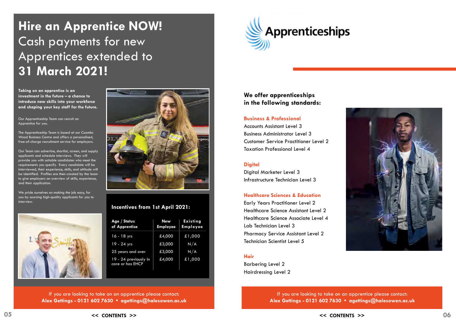If you are looking to take on an apprentice please contact: **Alex Gettings - 0121 602 7630 • [agettings@halesowen.ac.uk](mailto:agettings%40halesowen.ac.uk?subject=)**



## <span id="page-3-0"></span>**Hire an Apprentice NOW!** Cash payments for new Apprentices extended to **31 March 2021!**

#### **Incentives from 1st April 2021:**

Our Team can advertise, shortlist, screen, and supply applicants and schedule interviews. They will provide you with suitable candidates who meet the requirements you specify. Every candidate will be interviewed, their experience, skills, and attitude will be identified. Profiles are then created by the team to give employers an overview of skills, experience, and their application.

Our Apprenticeship Team can recruit an Apprentice for you.

The Apprenticeship Team is based at our Coombs Wood Business Centre and offers a personalised, free-of-charge recruitment service for employers.

We pride ourselves on making the job easy, for you by sourcing high-quality applicants for you to interview.





**Taking on an apprentice is an investment in the future – a chance to introduce new skills into your workforce and shaping your key staff for the future.**

#### **We offer apprenticeships in the following standards:**

#### **Business & Professional**

Accounts Assistant Level 3 Business Administrator Level 3 Customer Service Practitioner Level 2 Taxation Professional Level 4

#### **Digital**

Digital Marketer Level 3 Infrastructure Technician Level 3

#### **Healthcare Sciences & Education**

Early Years Practitioner Level 2 Healthcare Science Assistant Level 2 Healthcare Science Associate Level 4 Lab Technician Level 3 Pharmacy Service Assistant Level 2 Technician Scientist Level 5

#### **Hair**

Barbering Level 2 Hairdressing Level 2

> If you are looking to take on an apprentice please contact: **Alex Gettings - 0121 602 7630 • [agettings@halesowen.ac.uk](mailto:agettings%40halesowen.ac.uk?subject=)**

 $<<$  CONTENTS  $>>$   $<<$  CONTENTS  $>>$  06



| Age / Status<br>of Apprentice             | <b>New</b><br><b>Employee</b> | <b>Existing</b><br><b>Employee</b> |
|-------------------------------------------|-------------------------------|------------------------------------|
| 16 - 18 yrs                               | £4,000                        | £1,000                             |
| 19 - 24 yrs                               | £3,000                        | N/A                                |
| 25 years and over                         | £3,000                        | N/A                                |
| 19 - 24 previously in<br>care or has EHCP | £4,000                        | £1,000                             |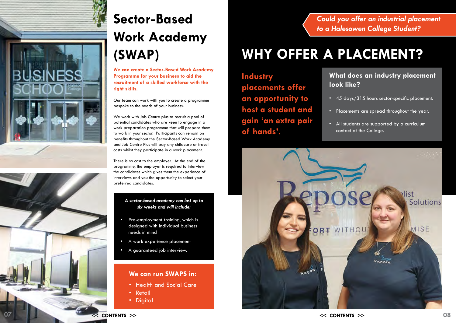# **Sector-Based Work Academy (SWAP)**

**We can create a Sector-Based Work Academy Programme for your business to aid the recruitment of a skilled workforce with the right skills.**

Our team can work with you to create a programme bespoke to the needs of your business.

We work with Job Centre plus to recruit a pool of potential candidates who are keen to engage in a work preparation programme that will prepare them to work in your sector. Participants can remain on benefits throughout the Sector-Based Work Academy and Job Centre Plus will pay any childcare or travel costs whilst they participate in a work placement.

- Pre-employment training, which is designed with individual business needs in mind
- A work experience placement
- A guaranteed job interview.

There is no cost to the employer. At the end of the programme, the employer is required to interview the candidates which gives them the experience of interviews and you the opportunity to select your preferred candidates.

#### **We can run SWAPS in:**

- Health and Social Care
- Retail
- Digital

#### *A sector-based academy can last up to six weeks and will include:*

*Could you offer an industrial placement to a Halesowen College Student?*

# **WHY OFFER A PLACEMENT?**

### **What does an industry placement look like?**

• 45 days/315 hours sector-specific placement.

• Placements are spread throughout the year.

• All students are supported by a curriculum contact at the College.

**Industry placements offer an opportunity to host a student and gain 'an extra pair of hands'.**

- 
- 
- 



<span id="page-4-0"></span>

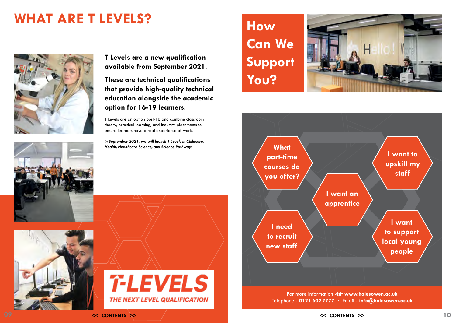**T Levels are a new qualification available from September 2021.** 

**These are technical qualifications that provide high-quality technical education alongside the academic option for 16-19 learners.**

T Levels are an option post-16 and combine classroom theory, practical learning, and industry placements to ensure learners have a real experience of work.

*In September 2021, we will launch T Levels in Childcare, Health, Healthcare Science, and Science Pathways.*

# <span id="page-5-0"></span>**WHAT ARE T LEVELS? How**